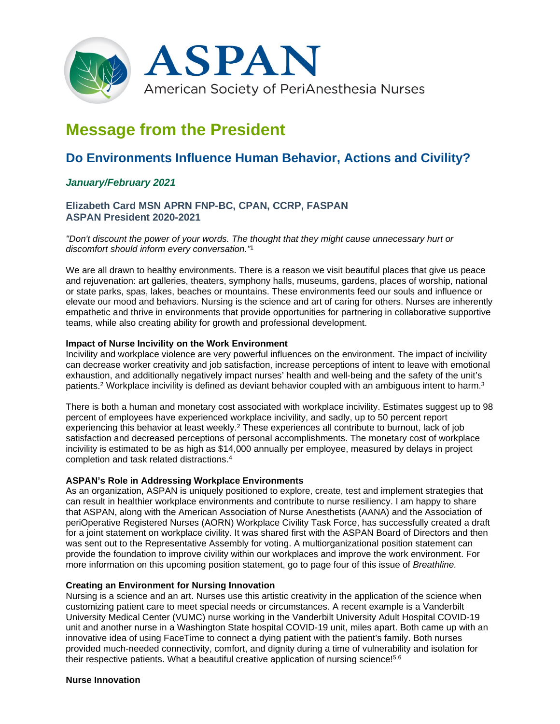

# **Message from the President**

# **Do Environments Influence Human Behavior, Actions and Civility?**

# *January/February 2021*

# **Elizabeth Card MSN APRN FNP-BC, CPAN, CCRP, FASPAN ASPAN President 2020-2021**

*"Don't discount the power of your words. The thought that they might cause unnecessary hurt or discomfort should inform every conversation."*<sup>1</sup>

We are all drawn to healthy environments. There is a reason we visit beautiful places that give us peace and rejuvenation: art galleries, theaters, symphony halls, museums, gardens, places of worship, national or state parks, spas, lakes, beaches or mountains. These environments feed our souls and influence or elevate our mood and behaviors. Nursing is the science and art of caring for others. Nurses are inherently empathetic and thrive in environments that provide opportunities for partnering in collaborative supportive teams, while also creating ability for growth and professional development.

#### **Impact of Nurse Incivility on the Work Environment**

Incivility and workplace violence are very powerful influences on the environment. The impact of incivility can decrease worker creativity and job satisfaction, increase perceptions of intent to leave with emotional exhaustion, and additionally negatively impact nurses' health and well-being and the safety of the unit's patients.2 Workplace incivility is defined as deviant behavior coupled with an ambiguous intent to harm.3

There is both a human and monetary cost associated with workplace incivility. Estimates suggest up to 98 percent of employees have experienced workplace incivility, and sadly, up to 50 percent report experiencing this behavior at least weekly.2 These experiences all contribute to burnout, lack of job satisfaction and decreased perceptions of personal accomplishments. The monetary cost of workplace incivility is estimated to be as high as \$14,000 annually per employee, measured by delays in project completion and task related distractions.4

#### **ASPAN's Role in Addressing Workplace Environments**

As an organization, ASPAN is uniquely positioned to explore, create, test and implement strategies that can result in healthier workplace environments and contribute to nurse resiliency. I am happy to share that ASPAN, along with the American Association of Nurse Anesthetists (AANA) and the Association of periOperative Registered Nurses (AORN) Workplace Civility Task Force, has successfully created a draft for a joint statement on workplace civility. It was shared first with the ASPAN Board of Directors and then was sent out to the Representative Assembly for voting. A multiorganizational position statement can provide the foundation to improve civility within our workplaces and improve the work environment. For more information on this upcoming position statement, go to page four of this issue of *Breathline.*

#### **Creating an Environment for Nursing Innovation**

Nursing is a science and an art. Nurses use this artistic creativity in the application of the science when customizing patient care to meet special needs or circumstances. A recent example is a Vanderbilt University Medical Center (VUMC) nurse working in the Vanderbilt University Adult Hospital COVID-19 unit and another nurse in a Washington State hospital COVID-19 unit, miles apart. Both came up with an innovative idea of using FaceTime to connect a dying patient with the patient's family. Both nurses provided much-needed connectivity, comfort, and dignity during a time of vulnerability and isolation for their respective patients. What a beautiful creative application of nursing science!<sup>5,6</sup>

#### **Nurse Innovation**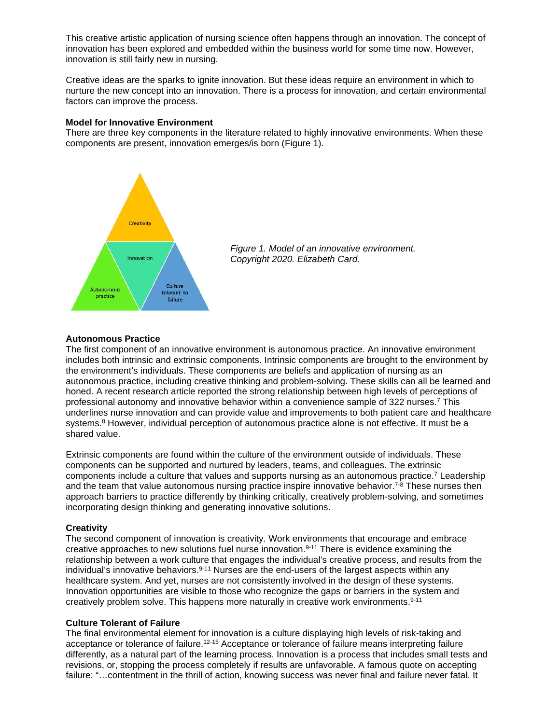This creative artistic application of nursing science often happens through an innovation. The concept of innovation has been explored and embedded within the business world for some time now. However, innovation is still fairly new in nursing.

Creative ideas are the sparks to ignite innovation. But these ideas require an environment in which to nurture the new concept into an innovation. There is a process for innovation, and certain environmental factors can improve the process.

#### **Model for Innovative Environment**

There are three key components in the literature related to highly innovative environments. When these components are present, innovation emerges/is born (Figure 1).





#### **Autonomous Practice**

The first component of an innovative environment is autonomous practice. An innovative environment includes both intrinsic and extrinsic components. Intrinsic components are brought to the environment by the environment's individuals. These components are beliefs and application of nursing as an autonomous practice, including creative thinking and problem-solving. These skills can all be learned and honed. A recent research article reported the strong relationship between high levels of perceptions of professional autonomy and innovative behavior within a convenience sample of 322 nurses.7 This underlines nurse innovation and can provide value and improvements to both patient care and healthcare systems.<sup>8</sup> However, individual perception of autonomous practice alone is not effective. It must be a shared value.

Extrinsic components are found within the culture of the environment outside of individuals. These components can be supported and nurtured by leaders, teams, and colleagues. The extrinsic components include a culture that values and supports nursing as an autonomous practice.7 Leadership and the team that value autonomous nursing practice inspire innovative behavior.<sup>7-8</sup> These nurses then approach barriers to practice differently by thinking critically, creatively problem-solving, and sometimes incorporating design thinking and generating innovative solutions.

#### **Creativity**

The second component of innovation is creativity. Work environments that encourage and embrace creative approaches to new solutions fuel nurse innovation.9-11 There is evidence examining the relationship between a work culture that engages the individual's creative process, and results from the individual's innovative behaviors. $9-11$  Nurses are the end-users of the largest aspects within any healthcare system. And yet, nurses are not consistently involved in the design of these systems. Innovation opportunities are visible to those who recognize the gaps or barriers in the system and creatively problem solve. This happens more naturally in creative work environments.9-11

#### **Culture Tolerant of Failure**

The final environmental element for innovation is a culture displaying high levels of risk-taking and acceptance or tolerance of failure.<sup>12-15</sup> Acceptance or tolerance of failure means interpreting failure differently, as a natural part of the learning process. Innovation is a process that includes small tests and revisions, or, stopping the process completely if results are unfavorable. A famous quote on accepting failure: "…contentment in the thrill of action, knowing success was never final and failure never fatal. It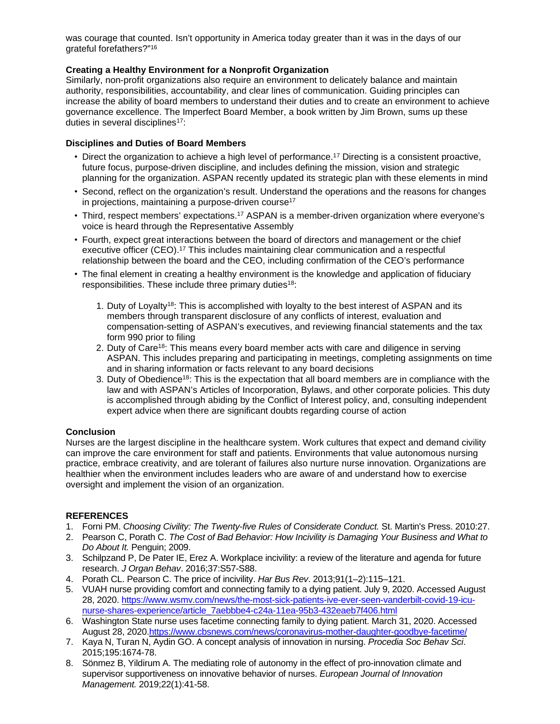was courage that counted. Isn't opportunity in America today greater than it was in the days of our grateful forefathers?"16

## **Creating a Healthy Environment for a Nonprofit Organization**

Similarly, non-profit organizations also require an environment to delicately balance and maintain authority, responsibilities, accountability, and clear lines of communication. Guiding principles can increase the ability of board members to understand their duties and to create an environment to achieve governance excellence. The Imperfect Board Member, a book written by Jim Brown, sums up these duties in several disciplines<sup>17</sup>:

### **Disciplines and Duties of Board Members**

- Direct the organization to achieve a high level of performance.<sup>17</sup> Directing is a consistent proactive, future focus, purpose-driven discipline, and includes defining the mission, vision and strategic planning for the organization. ASPAN recently updated its strategic plan with these elements in mind
- Second, reflect on the organization's result. Understand the operations and the reasons for changes in projections, maintaining a purpose-driven course<sup>17</sup>
- Third, respect members' expectations.<sup>17</sup> ASPAN is a member-driven organization where everyone's voice is heard through the Representative Assembly
- Fourth, expect great interactions between the board of directors and management or the chief executive officer (CEO).<sup>17</sup> This includes maintaining clear communication and a respectful relationship between the board and the CEO, including confirmation of the CEO's performance
- The final element in creating a healthy environment is the knowledge and application of fiduciary responsibilities. These include three primary duties<sup>18</sup>:
	- 1. Duty of Loyalty<sup>18</sup>: This is accomplished with loyalty to the best interest of ASPAN and its members through transparent disclosure of any conflicts of interest, evaluation and compensation-setting of ASPAN's executives, and reviewing financial statements and the tax form 990 prior to filing
	- 2. Duty of Care<sup>18</sup>: This means every board member acts with care and diligence in serving ASPAN. This includes preparing and participating in meetings, completing assignments on time and in sharing information or facts relevant to any board decisions
	- 3. Duty of Obedience<sup>18</sup>: This is the expectation that all board members are in compliance with the law and with ASPAN's Articles of Incorporation, Bylaws, and other corporate policies. This duty is accomplished through abiding by the Conflict of Interest policy, and, consulting independent expert advice when there are significant doubts regarding course of action

#### **Conclusion**

Nurses are the largest discipline in the healthcare system. Work cultures that expect and demand civility can improve the care environment for staff and patients. Environments that value autonomous nursing practice, embrace creativity, and are tolerant of failures also nurture nurse innovation. Organizations are healthier when the environment includes leaders who are aware of and understand how to exercise oversight and implement the vision of an organization.

# **REFERENCES**

- 1. Forni PM. *Choosing Civility: The Twenty-five Rules of Considerate Conduct.* St. Martin's Press. 2010:27.
- 2. Pearson C, Porath C. *The Cost of Bad Behavior: How Incivility is Damaging Your Business and What to Do About It.* Penguin; 2009.
- 3. Schilpzand P, De Pater IE, Erez A. Workplace incivility: a review of the literature and agenda for future research. *J Organ Behav*. 2016;37:S57-S88.
- 4. Porath CL. Pearson C. The price of incivility. *Har Bus Rev*. 2013;91(1–2):115–121.
- 5. VUAH nurse providing comfort and connecting family to a dying patient. July 9, 2020. Accessed August 28, 2020. [https://www.wsmv.com/news/the-most-sick-patients-ive-ever-seen-vanderbilt-covid-19-icu](https://www.wsmv.com/news/the-most-sick-patients-ive-ever-seen-vanderbilt-covid-19-icu-nurse-shares-experience/article_7aebbbe4-c24a-11ea-95b3-432eaeb7f406.html)[nurse-shares-experience/article\\_7aebbbe4-c24a-11ea-95b3-432eaeb7f406.html](https://www.wsmv.com/news/the-most-sick-patients-ive-ever-seen-vanderbilt-covid-19-icu-nurse-shares-experience/article_7aebbbe4-c24a-11ea-95b3-432eaeb7f406.html)
- 6. Washington State nurse uses facetime connecting family to dying patient. March 31, 2020. Accessed August 28, 2020[.https://www.cbsnews.com/news/coronavirus-mother-daughter-goodbye-facetime/](https://www.cbsnews.com/news/coronavirus-mother-daughter-goodbye-facetime/)
- 7. Kaya N, Turan N, Aydin GO. A concept analysis of innovation in nursing. *Procedia Soc Behav Sci*. 2015;195:1674-78.
- 8. Sönmez B, Yildirum A. The mediating role of autonomy in the effect of pro-innovation climate and supervisor supportiveness on innovative behavior of nurses. *European Journal of Innovation Management.* 2019;22(1):41-58.